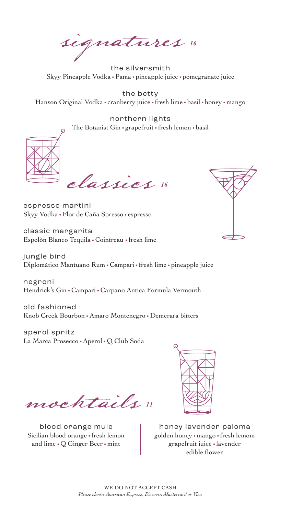signatures *16*

the silversmith Skyy Pineapple Vodka • Pama • pineapple juice • pomegranate juice

the betty Hanson Original Vodka • cranberry juice • fresh lime • basil • honey • mango

northern lights The Botanist Gin • grapefruit • fresh lemon • basil



classics *16*

espresso martini Skyy Vodka • Flor de Caña Spresso • espresso

classic margarita Espolòn Blanco Tequila • Cointreau • fresh lime

jungle bird Diplomático Mantuano Rum • Campari • fresh lime • pineapple juice

negroni Hendrick's Gin • Campari • Carpano Antica Formula Vermouth

old fashioned Knob Creek Bourbon • Amaro Montenegro • Demerara bitters

aperol spritz La Marca Prosecco • Aperol • Q Club Soda

mocktails *11*

blood orange mule Sicilian blood orange • fresh lemon and lime • Q Ginger Beer • mint



honey lavender paloma golden honey • mango • fresh lemom grapefruit juice • lavender edible flower

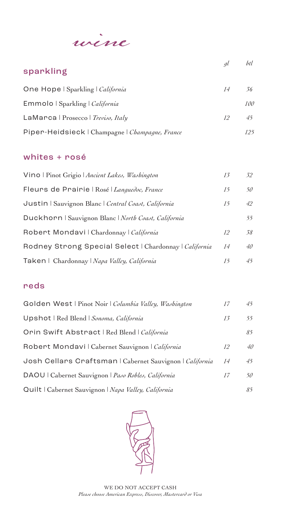

| sparkling                                       | <sub>al</sub> | btl |
|-------------------------------------------------|---------------|-----|
|                                                 |               |     |
| One Hope   Sparkling   <i>California</i>        | 14            | 36  |
| Emmolo   Sparkling   California                 |               | 100 |
| LaMarca   Prosecco   Treviso, Italy             | 12            | 45  |
| Piper-Heidsieck   Champagne   Champagne, France |               | 125 |

#### whites + rosé

| Vino   Pinot Grigio   Ancient Lakes, Washington        | 13 | 32           |
|--------------------------------------------------------|----|--------------|
| Fleurs de Prairie   Rosé   Languedoc, France           | 15 | 50           |
| Justin   Sauvignon Blanc   Central Coast, California   | 15 | 42           |
| Duckhorn   Sauvignon Blanc   North Coast, California   |    | 55           |
| Robert Mondavi   Chardonnay   California               | 12 | 58           |
| Rodney Strong Special Select   Chardonnay   California | 14 | $40^{\circ}$ |
| Taken   Chardonnay   Napa Valley, California           | 15 | 45           |

#### reds

| Golden West   Pinot Noir   Columbia Valley, Washington   | 17 | 45 |
|----------------------------------------------------------|----|----|
| Upshot   Red Blend   Sonoma, California                  | 13 | 55 |
| Orin Swift Abstract   Red Blend   California             |    | 85 |
| Robert Mondavi   Cabernet Sauvignon   California         | 12 | 40 |
| Josh Cellars Craftsman   Cabernet Sauvignon   California | 14 | 45 |
| DAOU   Cabernet Sauvignon   Paso Robles, California      | 17 | 50 |
| Quilt   Cabernet Sauvignon   Napa Valley, California     |    | 85 |
|                                                          |    |    |

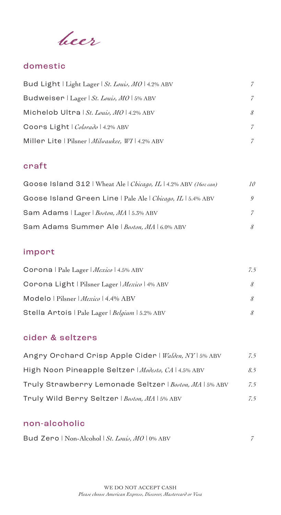beer

# domestic

| Bud Light   Light Lager   St. Louis, MO   4.2% ABV | 7 |
|----------------------------------------------------|---|
| Budweiser   Lager   St. Louis, MO   5% ABV         | 7 |
| Michelob Ultra   St. Louis, $MO$   4.2% ABV        | 8 |
| Coors Light   Colorado   4.2% ABV                  | 7 |
| Miller Lite   Pilsner   Milwaukee, WI   4.2% ABV   | 7 |

### craft

| Goose Island 312   Wheat Ale   Chicago, IL   4.2% ABV (16oz can) | 10     |
|------------------------------------------------------------------|--------|
| Goose Island Green Line   Pale Ale   Chicago, IL   5.4% ABV      | 9      |
| Sam Adams   Lager   Boston, MA   5.3% ABV                        |        |
| Sam Adams Summer Ale   Boston, MA   6.0% ABV                     | $\chi$ |

## import

| Corona   Pale Lager   Mexico   4.5% ABV         | 7.5 |
|-------------------------------------------------|-----|
| Corona Light   Pilsner Lager   Mexico   4% ABV  |     |
| Modelo   Pilsner   Mexico   4.4% ABV            |     |
| Stella Artois   Pale Lager   Belgium   5.2% ABV |     |

### cider & seltzers

| Angry Orchard Crisp Apple Cider   Walden, NY   5% ABV   | 7.5 |
|---------------------------------------------------------|-----|
| High Noon Pineapple Seltzer   Modesto, CA   4.5% ABV    | 8.5 |
| Truly Strawberry Lemonade Seltzer   Boston, MA   5% ABV | 7.5 |
| Truly Wild Berry Seltzer   Boston, MA   5% ABV          | 7.5 |

#### non-alcoholic

| Bud Zero   Non-Alcohol   St. Louis, MO   0% ABV |  |
|-------------------------------------------------|--|
|-------------------------------------------------|--|